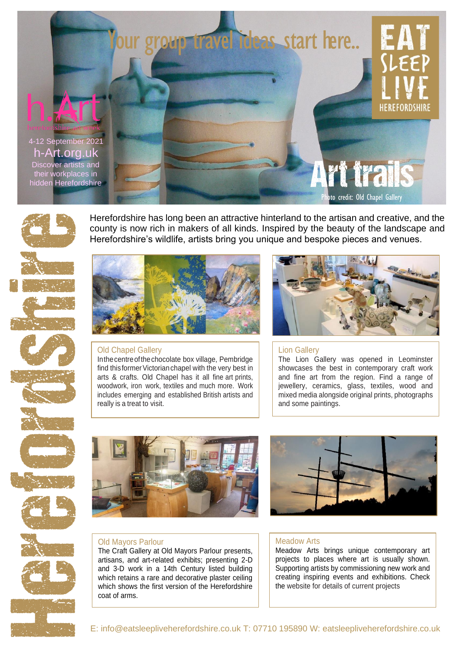



Herefordshire has long been an attractive hinterland to the artisan and creative, and the county is now rich in makers of all kinds. Inspired by the beauty of the landscape and Herefordshire's wildlife, artists bring you unique and bespoke pieces and venues.



#### Old Chapel Gallery

Inthecentreofthechocolate box village, Pembridge find this former Victorian chapel with the very best in arts & crafts. Old Chapel has it all fine art prints, woodwork, iron work, textiles and much more. Work includes emerging and established British artists and really is a treat to visit.



## Lion Gallery

The Lion Gallery was opened in Leominster showcases the best in contemporary craft work and fine art from the region. Find a range of jewellery, ceramics, glass, textiles, wood and mixed media alongside original prints, photographs and some paintings.





## Old Mayors Parlour

The Craft Gallery at Old Mayors Parlour presents, artisans, and art-related exhibits; presenting 2-D and 3-D work in a 14th Century listed building which retains a rare and decorative plaster ceiling which shows the first version of the Herefordshire coat of arms.

#### Meadow Arts

Meadow Arts brings unique contemporary art projects to places where art is usually shown. Supporting artists by commissioning new work and creating inspiring events and exhibitions. Check the website for details of current projects